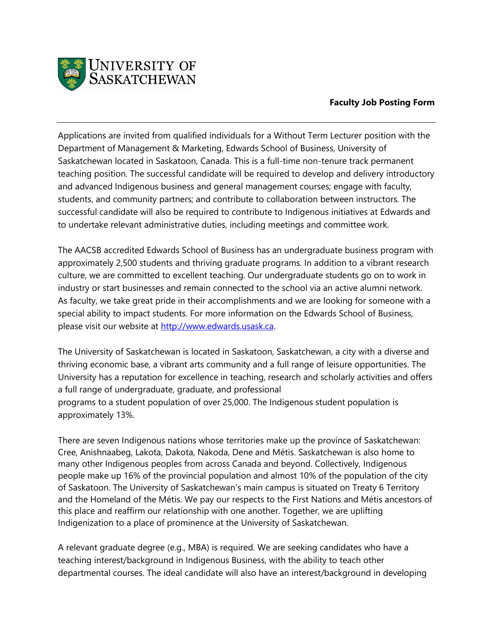

## **Faculty Job Posting Form**

Applications are invited from qualified individuals for a Without Term Lecturer position with the Department of Management & Marketing, Edwards School of Business, University of Saskatchewan located in Saskatoon, Canada. This is a full-time non-tenure track permanent teaching position. The successful candidate will be required to develop and delivery introductory and advanced Indigenous business and general management courses; engage with faculty, students, and community partners; and contribute to collaboration between instructors. The successful candidate will also be required to contribute to Indigenous initiatives at Edwards and to undertake relevant administrative duties, including meetings and committee work.

The AACSB accredited Edwards School of Business has an undergraduate business program with approximately 2,500 students and thriving graduate programs. In addition to a vibrant research culture, we are committed to excellent teaching. Our undergraduate students go on to work in industry or start businesses and remain connected to the school via an active alumni network. As faculty, we take great pride in their accomplishments and we are looking for someone with a special ability to impact students. For more information on the Edwards School of Business, please visit our website at [http://www.edwards.usask.ca.](http://www.edwards.usask.ca/)

The University of Saskatchewan is located in Saskatoon, Saskatchewan, a city with a diverse and thriving economic base, a vibrant arts community and a full range of leisure opportunities. The University has a reputation for excellence in teaching, research and scholarly activities and offers a full range of undergraduate, graduate, and professional programs to a student population of over 25,000. The Indigenous student population is approximately 13%.

There are seven Indigenous nations whose territories make up the province of Saskatchewan: Cree, Anishnaabeg, Lakota, Dakota, Nakoda, Dene and Métis. Saskatchewan is also home to many other Indigenous peoples from across Canada and beyond. Collectively, Indigenous people make up 16% of the provincial population and almost 10% of the population of the city of Saskatoon. The University of Saskatchewan's main campus is situated on Treaty 6 Territory and the Homeland of the Métis. We pay our respects to the First Nations and Métis ancestors of this place and reaffirm our relationship with one another. Together, we are uplifting Indigenization to a place of prominence at the University of Saskatchewan.

A relevant graduate degree (e.g., MBA) is required. We are seeking candidates who have a teaching interest/background in Indigenous Business, with the ability to teach other departmental courses. The ideal candidate will also have an interest/background in developing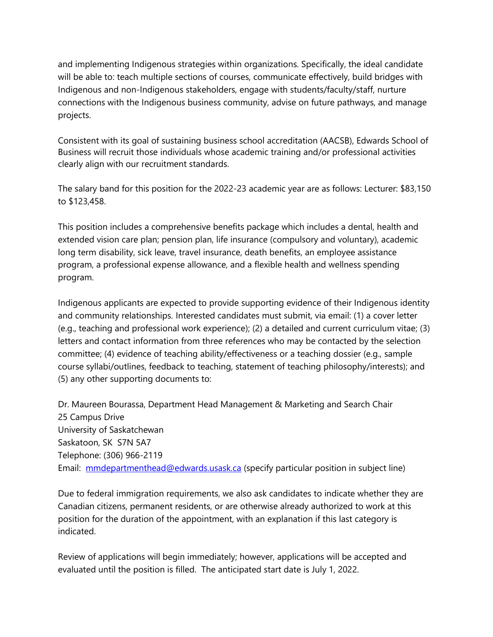and implementing Indigenous strategies within organizations. Specifically, the ideal candidate will be able to: teach multiple sections of courses, communicate effectively, build bridges with Indigenous and non-Indigenous stakeholders, engage with students/faculty/staff, nurture connections with the Indigenous business community, advise on future pathways, and manage projects.

Consistent with its goal of sustaining business school accreditation (AACSB), Edwards School of Business will recruit those individuals whose academic training and/or professional activities clearly align with our recruitment standards.

The salary band for this position for the 2022-23 academic year are as follows: Lecturer: \$83,150 to \$123,458.

This position includes a comprehensive benefits package which includes a dental, health and extended vision care plan; pension plan, life insurance (compulsory and voluntary), academic long term disability, sick leave, travel insurance, death benefits, an employee assistance program, a professional expense allowance, and a flexible health and wellness spending program.

Indigenous applicants are expected to provide supporting evidence of their Indigenous identity and community relationships. Interested candidates must submit, via email: (1) a cover letter (e.g., teaching and professional work experience); (2) a detailed and current curriculum vitae; (3) letters and contact information from three references who may be contacted by the selection committee; (4) evidence of teaching ability/effectiveness or a teaching dossier (e.g., sample course syllabi/outlines, feedback to teaching, statement of teaching philosophy/interests); and (5) any other supporting documents to:

Dr. Maureen Bourassa, Department Head Management & Marketing and Search Chair 25 Campus Drive University of Saskatchewan Saskatoon, SK S7N 5A7 Telephone: (306) 966-2119 Email: [mmdepartmenthead@edwards.usask.ca](mailto:mmdepartmenthead@edwards.usask.ca) (specify particular position in subject line)

Due to federal immigration requirements, we also ask candidates to indicate whether they are Canadian citizens, permanent residents, or are otherwise already authorized to work at this position for the duration of the appointment, with an explanation if this last category is indicated.

Review of applications will begin immediately; however, applications will be accepted and evaluated until the position is filled. The anticipated start date is July 1, 2022.